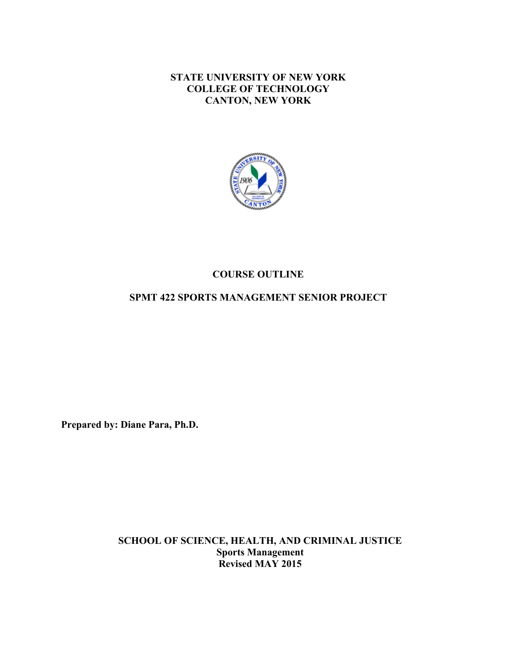**STATE UNIVERSITY OF NEW YORK COLLEGE OF TECHNOLOGY CANTON, NEW YORK**



## **COURSE OUTLINE**

# **SPMT 422 SPORTS MANAGEMENT SENIOR PROJECT**

**Prepared by: Diane Para, Ph.D.** 

 **Revised MAY 2015 SCHOOL OF SCIENCE, HEALTH, AND CRIMINAL JUSTICE Sports Management**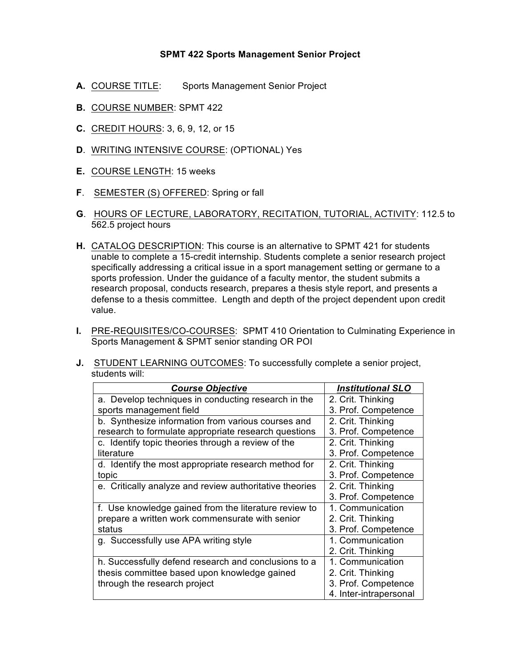### **SPMT 422 Sports Management Senior Project**

- **A.** COURSE TITLE: Sports Management Senior Project
- **B.** COURSE NUMBER: SPMT 422
- **C.** CREDIT HOURS: 3, 6, 9, 12, or 15
- **D.** WRITING INTENSIVE COURSE: (OPTIONAL) Yes
- **E.** COURSE LENGTH: 15 weeks
- **F**. SEMESTER (S) OFFERED: Spring or fall
- **G**. HOURS OF LECTURE, LABORATORY, RECITATION, TUTORIAL, ACTIVITY: 112.5 to 562.5 project hours
- **H.** CATALOG DESCRIPTION: This course is an alternative to SPMT 421 for students unable to complete a 15-credit internship. Students complete a senior research project specifically addressing a critical issue in a sport management setting or germane to a sports profession. Under the guidance of a faculty mentor, the student submits a research proposal, conducts research, prepares a thesis style report, and presents a defense to a thesis committee. Length and depth of the project dependent upon credit value.
- Sports Management & SPMT senior standing OR POI **I.** PRE-REQUISITES/CO-COURSES: SPMT 410 Orientation to Culminating Experience in
- **J.** STUDENT LEARNING OUTCOMES: To successfully complete a senior project, students will:

| <b>Course Objective</b>                                 | <b>Institutional SLO</b> |
|---------------------------------------------------------|--------------------------|
| a. Develop techniques in conducting research in the     | 2. Crit. Thinking        |
| sports management field                                 | 3. Prof. Competence      |
| b. Synthesize information from various courses and      | 2. Crit. Thinking        |
| research to formulate appropriate research questions    | 3. Prof. Competence      |
| c. Identify topic theories through a review of the      | 2. Crit. Thinking        |
| literature                                              | 3. Prof. Competence      |
| d. Identify the most appropriate research method for    | 2. Crit. Thinking        |
| topic                                                   | 3. Prof. Competence      |
| e. Critically analyze and review authoritative theories | 2. Crit. Thinking        |
|                                                         | 3. Prof. Competence      |
| f. Use knowledge gained from the literature review to   | 1. Communication         |
| prepare a written work commensurate with senior         | 2. Crit. Thinking        |
| status                                                  | 3. Prof. Competence      |
| g. Successfully use APA writing style                   | 1. Communication         |
|                                                         | 2. Crit. Thinking        |
| h. Successfully defend research and conclusions to a    | 1. Communication         |
| thesis committee based upon knowledge gained            | 2. Crit. Thinking        |
| through the research project                            | 3. Prof. Competence      |
|                                                         | 4. Inter-intrapersonal   |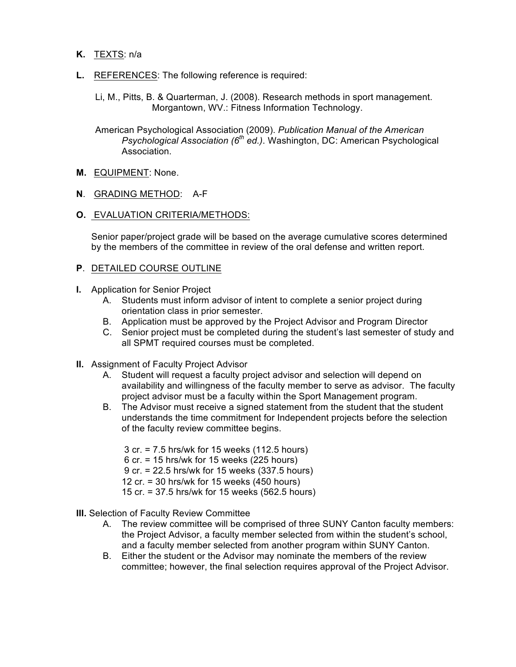- **K.** TEXTS: n/a
- **L.** REFERENCES: The following reference is required:
	- Li, M., Pitts, B. & Quarterman, J. (2008). Research methods in sport management. Morgantown, WV.: Fitness Information Technology.

 American Psychological Association (2009). *Publication Manual of the American Psychological Association (6th ed.)*. Washington, DC: American Psychological Association.

- **M.** EQUIPMENT: None.
- **N**. GRADING METHOD: A-F
- **O.** EVALUATION CRITERIA/METHODS:

 Senior paper/project grade will be based on the average cumulative scores determined by the members of the committee in review of the oral defense and written report.

#### **P**. DETAILED COURSE OUTLINE

- **I.** Application for Senior Project
	- A. Students must inform advisor of intent to complete a senior project during orientation class in prior semester.
	- B. Application must be approved by the Project Advisor and Program Director
	- C. Senior project must be completed during the student's last semester of study and all SPMT required courses must be completed.
- **II.** Assignment of Faculty Project Advisor
	- A. Student will request a faculty project advisor and selection will depend on availability and willingness of the faculty member to serve as advisor. The faculty project advisor must be a faculty within the Sport Management program.
	- B. The Advisor must receive a signed statement from the student that the student understands the time commitment for Independent projects before the selection of the faculty review committee begins.
		- 3 cr. = 7.5 hrs/wk for 15 weeks (112.5 hours)
		- 6 cr. = 15 hrs/wk for 15 weeks (225 hours)
		- 9 cr. = 22.5 hrs/wk for 15 weeks (337.5 hours)
		- 12 cr. = 30 hrs/wk for 15 weeks (450 hours)
		- 15 cr. = 37.5 hrs/wk for 15 weeks (562.5 hours)
- **III.** Selection of Faculty Review Committee
	- A. The review committee will be comprised of three SUNY Canton faculty members: and a faculty member selected from another program within SUNY Canton. the Project Advisor, a faculty member selected from within the student's school,
	- B. Either the student or the Advisor may nominate the members of the review committee; however, the final selection requires approval of the Project Advisor.